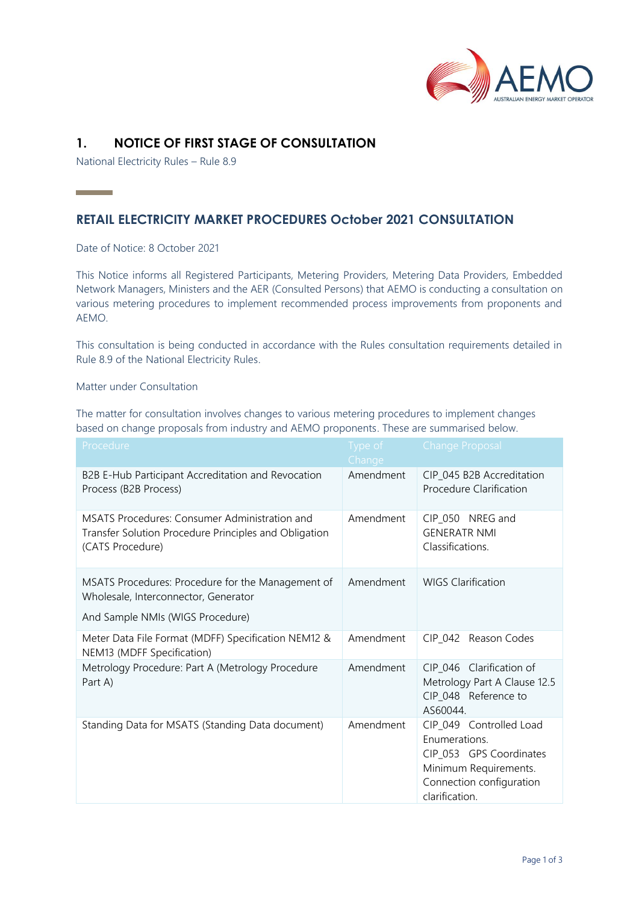

## **1. NOTICE OF FIRST STAGE OF CONSULTATION**

National Electricity Rules – Rule 8.9

# **RETAIL ELECTRICITY MARKET PROCEDURES October 2021 CONSULTATION**

Date of Notice: 8 October 2021

**Contract Contract** 

This Notice informs all Registered Participants, Metering Providers, Metering Data Providers, Embedded Network Managers, Ministers and the AER (Consulted Persons) that AEMO is conducting a consultation on various metering procedures to implement recommended process improvements from proponents and AEMO.

This consultation is being conducted in accordance with the Rules consultation requirements detailed in Rule 8.9 of the National Electricity Rules.

### Matter under Consultation

The matter for consultation involves changes to various metering procedures to implement changes based on change proposals from industry and AEMO proponents. These are summarised below.

| Procedure                                                                                                                     | Type of<br>Change | <b>Change Proposal</b>                                                                                                                     |
|-------------------------------------------------------------------------------------------------------------------------------|-------------------|--------------------------------------------------------------------------------------------------------------------------------------------|
| B2B E-Hub Participant Accreditation and Revocation<br>Process (B2B Process)                                                   | Amendment         | CIP_045 B2B Accreditation<br>Procedure Clarification                                                                                       |
| MSATS Procedures: Consumer Administration and<br>Transfer Solution Procedure Principles and Obligation<br>(CATS Procedure)    | Amendment         | CIP 050 NREG and<br><b>GENERATR NMI</b><br>Classifications.                                                                                |
| MSATS Procedures: Procedure for the Management of<br>Wholesale, Interconnector, Generator<br>And Sample NMIs (WIGS Procedure) | Amendment         | <b>WIGS Clarification</b>                                                                                                                  |
| Meter Data File Format (MDFF) Specification NEM12 &                                                                           | Amendment         | CIP 042 Reason Codes                                                                                                                       |
| NEM13 (MDFF Specification)                                                                                                    |                   |                                                                                                                                            |
| Metrology Procedure: Part A (Metrology Procedure<br>Part A)                                                                   | Amendment         | CIP 046 Clarification of<br>Metrology Part A Clause 12.5<br>CIP_048 Reference to<br>AS60044.                                               |
| Standing Data for MSATS (Standing Data document)                                                                              | Amendment         | CIP_049 Controlled Load<br>Enumerations.<br>CIP_053 GPS Coordinates<br>Minimum Requirements.<br>Connection configuration<br>clarification. |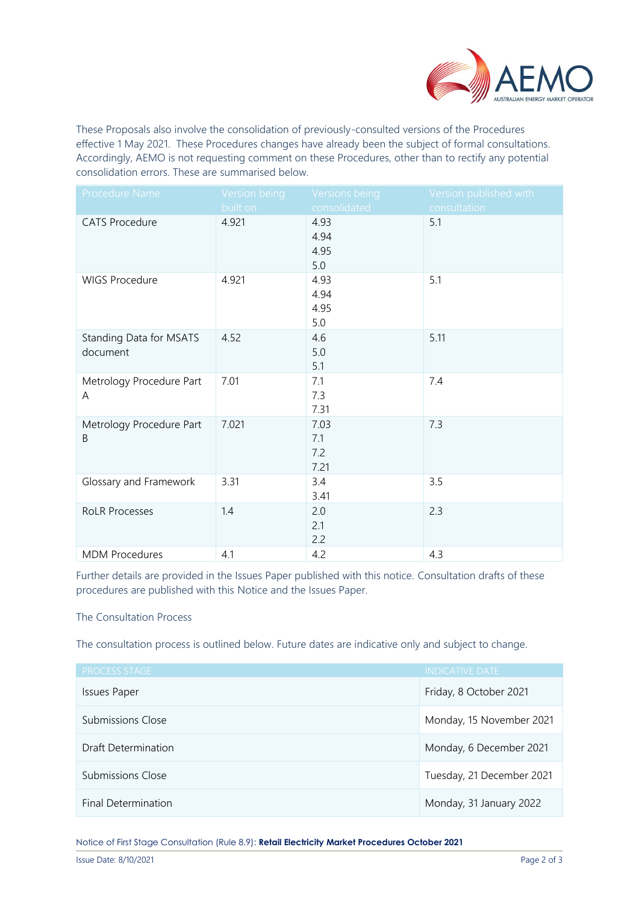

These Proposals also involve the consolidation of previously-consulted versions of the Procedures effective 1 May 2021. These Procedures changes have already been the subject of formal consultations. Accordingly, AEMO is not requesting comment on these Procedures, other than to rectify any potential consolidation errors. These are summarised below.

| Procedure Name                      | Version being | Versions being              | Version published with |
|-------------------------------------|---------------|-----------------------------|------------------------|
|                                     | built on      | consolidated                | consultation           |
| <b>CATS Procedure</b>               | 4.921         | 4.93<br>4.94<br>4.95<br>5.0 | 5.1                    |
| <b>WIGS Procedure</b>               | 4.921         | 4.93<br>4.94<br>4.95<br>5.0 | 5.1                    |
| Standing Data for MSATS<br>document | 4.52          | 4.6<br>5.0<br>5.1           | 5.11                   |
| Metrology Procedure Part<br>A       | 7.01          | 7.1<br>7.3<br>7.31          | 7.4                    |
| Metrology Procedure Part<br>B       | 7.021         | 7.03<br>7.1<br>7.2<br>7.21  | 7.3                    |
| Glossary and Framework              | 3.31          | 3.4<br>3.41                 | 3.5                    |
| <b>RoLR Processes</b>               | 1.4           | 2.0<br>2.1<br>2.2           | 2.3                    |
| <b>MDM Procedures</b>               | 4.1           | 4.2                         | 4.3                    |

Further details are provided in the Issues Paper published with this notice. Consultation drafts of these procedures are published with this Notice and the Issues Paper.

### The Consultation Process

The consultation process is outlined below. Future dates are indicative only and subject to change.

| <b>PROCESS STAGE</b> | <b>INDICATIVE DATE</b>    |
|----------------------|---------------------------|
| <b>Issues Paper</b>  | Friday, 8 October 2021    |
| Submissions Close    | Monday, 15 November 2021  |
| Draft Determination  | Monday, 6 December 2021   |
| Submissions Close    | Tuesday, 21 December 2021 |
| Final Determination  | Monday, 31 January 2022   |

Notice of First Stage Consultation (Rule 8.9): **Retail Electricity Market Procedures October 2021**